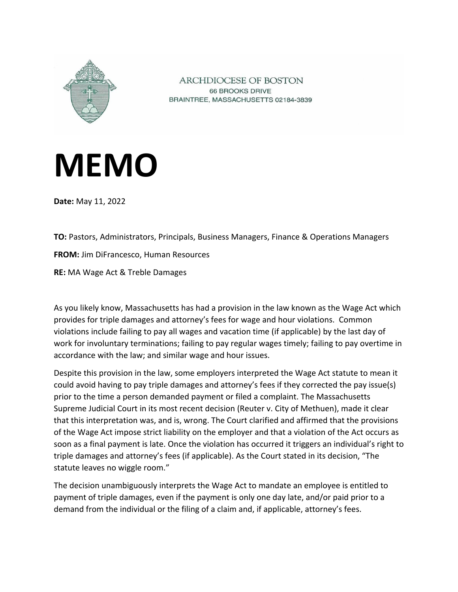

ARCHDIOCESE OF BOSTON 66 BROOKS DRIVE BRAINTREE, MASSACHUSETTS 02184-3839

## **MEMO**

**Date:** May 11, 2022

**TO:** Pastors, Administrators, Principals, Business Managers, Finance & Operations Managers **FROM:** Jim DiFrancesco, Human Resources **RE:** MA Wage Act & Treble Damages

As you likely know, Massachusetts has had a provision in the law known as the Wage Act which provides for triple damages and attorney's fees for wage and hour violations. Common violations include failing to pay all wages and vacation time (if applicable) by the last day of work for involuntary terminations; failing to pay regular wages timely; failing to pay overtime in accordance with the law; and similar wage and hour issues.

Despite this provision in the law, some employers interpreted the Wage Act statute to mean it could avoid having to pay triple damages and attorney's fees if they corrected the pay issue(s) prior to the time a person demanded payment or filed a complaint. The Massachusetts Supreme Judicial Court in its most recent decision (Reuter v. City of Methuen), made it clear that this interpretation was, and is, wrong. The Court clarified and affirmed that the provisions of the Wage Act impose strict liability on the employer and that a violation of the Act occurs as soon as a final payment is late. Once the violation has occurred it triggers an individual's right to triple damages and attorney's fees (if applicable). As the Court stated in its decision, "The statute leaves no wiggle room."

The decision unambiguously interprets the Wage Act to mandate an employee is entitled to payment of triple damages, even if the payment is only one day late, and/or paid prior to a demand from the individual or the filing of a claim and, if applicable, attorney's fees.